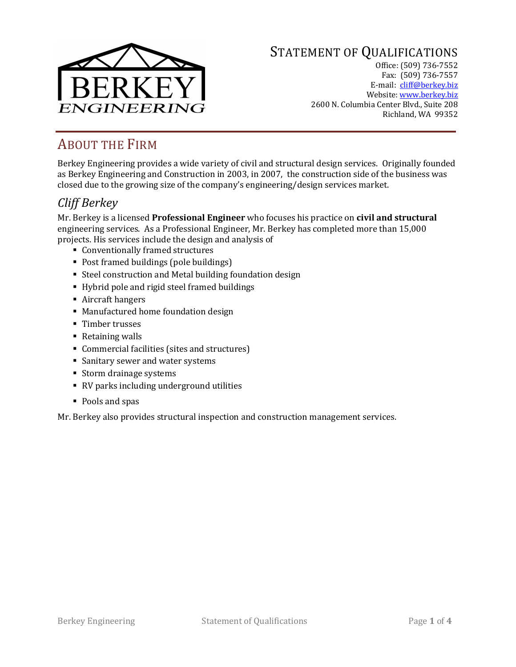

# STATEMENT OF QUALIFICATIONS

Office: (509) 736-7552 Fax: (509) 736-7557 E-mail: [cliff@berkey.biz](mailto:cliff@berkey.biz) Website[: www.berkey.biz](http://www.berkey.biz/) 2600 N. Columbia Center Blvd., Suite 208 Richland, WA 99352

# ABOUT THE FIRM

Berkey Engineering provides a wide variety of civil and structural design services. Originally founded as Berkey Engineering and Construction in 2003, in 2007, the construction side of the business was closed due to the growing size of the company's engineering/design services market.

## *Cliff Berkey*

Mr. Berkey is a licensed **Professional Engineer** who focuses his practice on **civil and structural**  engineering services. As a Professional Engineer, Mr. Berkey has completed more than 15,000 projects. His services include the design and analysis of

- Conventionally framed structures
- Post framed buildings (pole buildings)
- Steel construction and Metal building foundation design
- Hybrid pole and rigid steel framed buildings
- Aircraft hangers
- Manufactured home foundation design
- Timber trusses
- Retaining walls
- Commercial facilities (sites and structures)
- **Sanitary sewer and water systems**
- Storm drainage systems
- RV parks including underground utilities
- Pools and spas

Mr. Berkey also provides structural inspection and construction management services.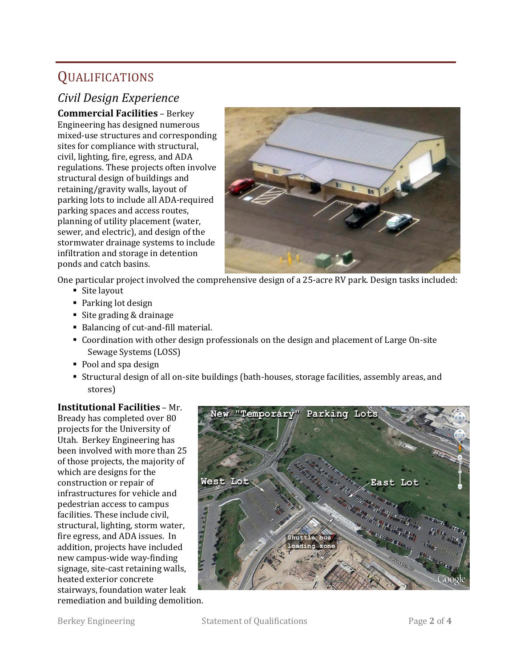# QUALIFICATIONS

## *Civil Design Experience*

**Commercial Facilities** – Berkey Engineering has designed numerous mixed-use structures and corresponding sites for compliance with structural, civil, lighting, fire, egress, and ADA regulations. These projects often involve structural design of buildings and retaining/gravity walls, layout of parking lots to include all ADA-required parking spaces and access routes, planning of utility placement (water, sewer, and electric), and design of the stormwater drainage systems to include infiltration and storage in detention ponds and catch basins.



One particular project involved the comprehensive design of a 25-acre RV park. Design tasks included:

- Site layout
- Parking lot design
- Site grading & drainage
- Balancing of cut-and-fill material.
- Coordination with other design professionals on the design and placement of Large On-site Sewage Systems (LOSS)
- Pool and spa design
- Structural design of all on-site buildings (bath-houses, storage facilities, assembly areas, and stores)

### **Institutional Facilities** – Mr.

Bready has completed over 80 projects for the University of Utah. Berkey Engineering has been involved with more than 25 of those projects, the majority of which are designs for the construction or repair of infrastructures for vehicle and pedestrian access to campus facilities. These include civil, structural, lighting, storm water, fire egress, and ADA issues. In addition, projects have included new campus-wide way-finding signage, site-cast retaining walls, heated exterior concrete stairways, foundation water leak



remediation and building demolition.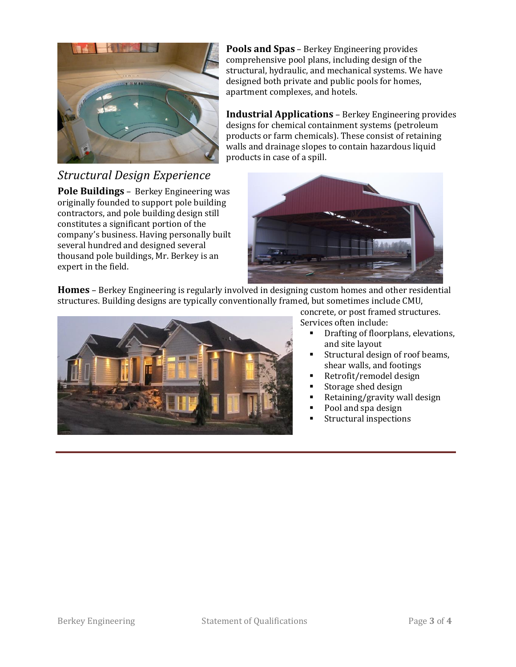

# *Structural Design Experience*

**Pole Buildings** – Berkey Engineering was originally founded to support pole building contractors, and pole building design still constitutes a significant portion of the company's business. Having personally built several hundred and designed several thousand pole buildings, Mr. Berkey is an expert in the field.

**Pools and Spas** – Berkey Engineering provides comprehensive pool plans, including design of the structural, hydraulic, and mechanical systems. We have designed both private and public pools for homes, apartment complexes, and hotels.

**Industrial Applications** – Berkey Engineering provides designs for chemical containment systems (petroleum products or farm chemicals). These consist of retaining walls and drainage slopes to contain hazardous liquid products in case of a spill.



**Homes** – Berkey Engineering is regularly involved in designing custom homes and other residential structures. Building designs are typically conventionally framed, but sometimes include CMU,



concrete, or post framed structures. Services often include:

- **•** Drafting of floorplans, elevations, and site layout
- Structural design of roof beams, shear walls, and footings
- Retrofit/remodel design
- Storage shed design
- Retaining/gravity wall design
- Pool and spa design
- **Structural inspections**